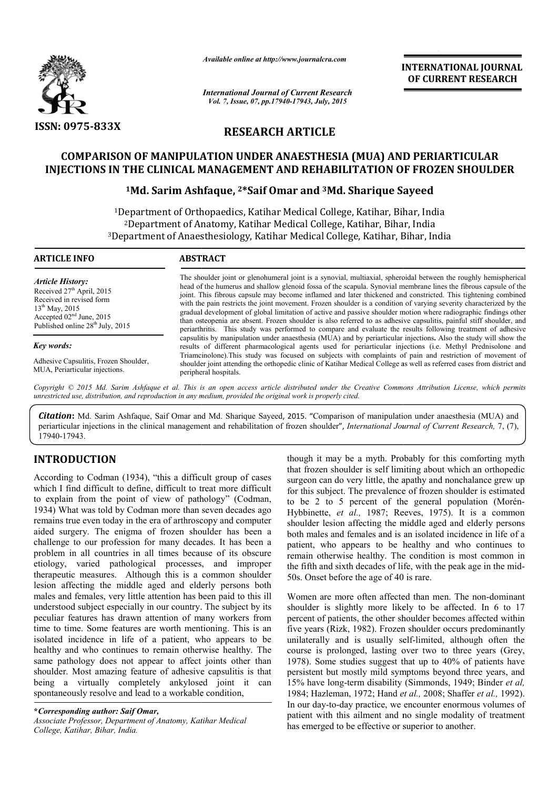

*Available online at http://www.journalcra.com*

*International Journal of Current Research Vol. 7, Issue, 07, pp.17940-17943, July, 2015*

**INTERNATIONAL INTERNATIONAL JOURNAL OF CURRENT RESEARCH** 

# **RESEARCH ARTICLE**

# **COMPARISON OF MANIPULATION UNDER ANAESTHESIA (MUA) AND PERIARTICULAR INJECTIONS IN THE CLINICAL MANAGEMENT AND REHABILITATION OF FROZEN SHOULDER**

### **1Md. Sarim Ashfaque, 2\*Saif Omar and 3Md. Sharique Sayeed**

1Department of Orthopaedics, Katihar Medical College, Katihar, Bihar, India 2Department of Anatomy, Katihar Medical College, Katihar, Bihar, India <sup>1</sup>Department of Orthopaedics, Katihar Medical College, Katihar, Bihar, India<sup>2</sup>Department of Anatomy, Katihar Medical College, Katihar, Bihar, India<sup>3</sup>Department of Anaesthesiology, Katihar Medical College, Katihar, Bihar Department of Orthopaedics, Katihar Medical College, Katihar, Bihar, India<sup>2</sup>Department of Anatomy, Katihar Medical College, Katihar, Bihar, India<br>Pepartment of Anaesthesiology, Katihar Medical College, Katihar, Bihar, Ind

| <b>ARTICLE INFO</b>                                                                                                                                                                     | <b>ABSTRACT</b>                                                                                                                                                                                                                                                                                                                                                                                                                                                                                                                                                                                                                                                                                                                                                                                                                        |  |
|-----------------------------------------------------------------------------------------------------------------------------------------------------------------------------------------|----------------------------------------------------------------------------------------------------------------------------------------------------------------------------------------------------------------------------------------------------------------------------------------------------------------------------------------------------------------------------------------------------------------------------------------------------------------------------------------------------------------------------------------------------------------------------------------------------------------------------------------------------------------------------------------------------------------------------------------------------------------------------------------------------------------------------------------|--|
| <b>Article History:</b><br>Received 27 <sup>th</sup> April, 2015<br>Received in revised form<br>$13^{th}$ May, 2015<br>Accepted $02nd$ June, 2015<br>Published online $28th$ July, 2015 | The shoulder joint or glenohumeral joint is a synovial, multiaxial, spheroidal between the roughly hemispherical<br>head of the humerus and shallow glenoid fossa of the scapula. Synovial membrane lines the fibrous capsule of the<br>joint. This fibrous capsule may become inflamed and later thickened and constricted. This tightening combined<br>with the pain restricts the joint movement. Frozen shoulder is a condition of varying severity characterized by the<br>gradual development of global limitation of active and passive shoulder motion where radiographic findings other<br>than osteopenia are absent. Frozen shoulder is also referred to as adhesive capsulitis, painful stiff shoulder, and<br>periarthritis. This study was performed to compare and evaluate the results following treatment of adhesive |  |
| Key words:<br>Adhesive Capsulitis, Frozen Shoulder,<br>MUA, Periarticular injections.                                                                                                   | capsulitis by manipulation under anaesthesia (MUA) and by periarticular injections. Also the study will show the<br>results of different pharmacological agents used for periarticular injections (i.e. Methyl Prednisolone and<br>Triamcinolone). This study was focused on subjects with complaints of pain and restriction of movement of<br>shoulder joint attending the orthopedic clinic of Katihar Medical College as well as referred cases from district and<br>peripheral hospitals.                                                                                                                                                                                                                                                                                                                                         |  |

Copyright © 2015 Md. Sarim Ashfaque et al. This is an open access article distributed under the Creative Commons Attribution License, which permits *unrestricted use, distribution, and reproduction in any medium, provided the original work is properly cited.*

Citation: Md. Sarim Ashfaque, Saif Omar and Md. Sharique Sayeed, 2015. "Comparison of manipulation under anaesthesia (MUA) and periarticular injections in the clinical management and rehabilitation of frozen shoulder", *International Journal of Current Research*, 7, (7), 17940-17943.

# **INTRODUCTION**

According to Codman (1934), "this a difficult group of cases which I find difficult to define, difficult to treat more difficult to explain from the point of view of pathology" (Codman, 1934) What was told by Codman more than seven decades ago remains true even today in the era of arthroscopy and computer aided surgery. The enigma of frozen shoulder has been a challenge to our profession for many decades. It has been a problem in all countries in all times because of its obscure etiology, varied pathological processes, and improper therapeutic measures. Although this is a common shoulder lesion affecting the middle aged and elderly persons both males and females, very little attention has been paid to this ill understood subject especially in our country. The subject by its peculiar features has drawn attention of many workers from time to time. Some features are worth mentioning. This is an isolated incidence in life of a patient, who appears to be healthy and who continues to remain otherwise healthy. The same pathology does not appear to affect joints other than shoulder. Most amazing feature of adhesive capsulitis is that being a virtually completely ankylosed joint it can spontaneously resolve and lead to a workable condition, 1 processes, and improper<br>ged and elderly persons both<br>tention has been paid to this ill<br>our country. The subject by its

**\****Corresponding author: Saif Omar, Associate Professor, Department of Anatomy, Katihar Medical College, Katihar, Bihar, India.*

that frozen shoulder is self limiting about which an orthopedic surgeon can do very little, the apathy and nonchalance grew up for this subject. The prevalence of frozen shoulder is estimated to be 2 to 5 percent of the general population Hybbinette, et al., 1987; Reeves, 1975). It is a common shoulder lesion affecting the middle aged and elderly persons both males and females and is an isolated incidence in life of a patient, who appears to be healthy and who continues to remain otherwise healthy. The condition is most common in remain otherwise healthy. The condition is most common in the fifth and sixth decades of life, with the peak age in the mid-50s. Onset before the age of 40 is rare. though it may be a myth. Probably for this comforting myth<br>that frozen shoulder is self limiting about which an orthopedic<br>surgeon can do very little, the apathy and nonchalance grew up<br>for this subject. The prevalence of lesion affecting the middle aged and elderly persons es and females and is an isolated incidence in life of a who appears to be healthy and who continues to

though it may be a myth. Probably for this comforting myth<br>three trat from shudder is estill mining about which an orthopedic<br>to treat more of from shudder is estimated<br>to treat more difficult<br>that for this subject. The pr Women are more often affected than men. The non Women are non-dominant shoulder is slightly more likely to be affected. In 6 to 17 percent of patients, the other shoulder becomes affected within five years (Rizk, 1982). Frozen shoulder occurs predominantly unilaterally and is usually self-limited, although often the course is prolonged, lasting over two to three years (Grey, 1978). Some studies suggest that up to 40% of patients have persistent but mostly mild symptoms beyond three years, and 1978). Some studies suggest that up to 40% of patients have persistent but mostly mild symptoms beyond three years, and 15% have long-term disability (Simmonds, 1949; Binder *et al*, 1984; Hazleman, 1972; Hand *et et al.,* 2008; Shaffer *et al.,* 1992). In our day-to-day practice, we encounter enormous volumes of In our day-to-day practice, we encounter enormous volumes of patient with this ailment and no single modality of treatment has emerged to be effective or superior to another. er is slightly more likely to be affected. In 6 to 17 t of patients, the other shoulder becomes affected within ars (Rizk, 1982). Frozen shoulder occurs predominantly rally and is usually self-limited, although often the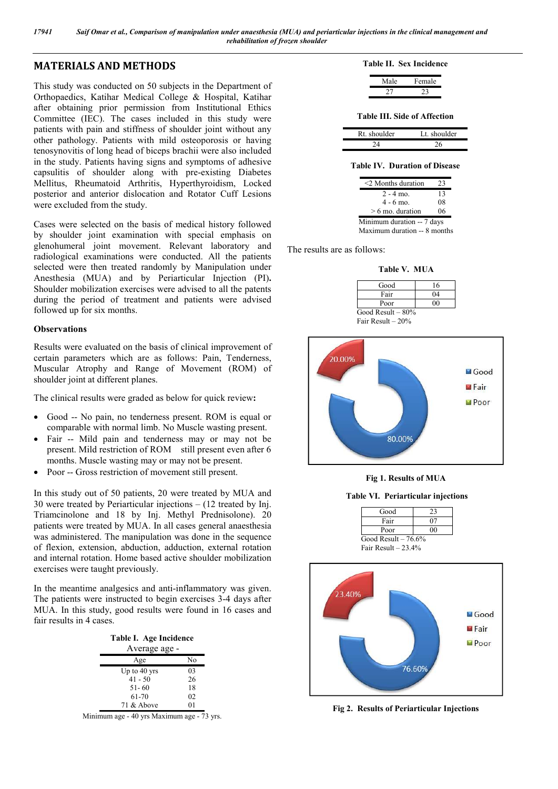## **MATERIALS AND METHODS**

This study was conducted on 50 subjects in the Department of Orthopaedics, Katihar Medical College & Hospital, Katihar after obtaining prior permission from Institutional Ethics Committee (IEC). The cases included in this study were patients with pain and stiffness of shoulder joint without any other pathology. Patients with mild osteoporosis or having tenosynovitis of long head of biceps brachii were also included in the study. Patients having signs and symptoms of adhesive capsulitis of shoulder along with pre-existing Diabetes Mellitus, Rheumatoid Arthritis, Hyperthyroidism, Locked posterior and anterior dislocation and Rotator Cuff Lesions were excluded from the study.

Cases were selected on the basis of medical history followed by shoulder joint examination with special emphasis on glenohumeral joint movement. Relevant laboratory and radiological examinations were conducted. All the patients selected were then treated randomly by Manipulation under Anesthesia (MUA) and by Periarticular Injection (PI)**.** Shoulder mobilization exercises were advised to all the patents during the period of treatment and patients were advised followed up for six months.

#### **Observations**

Results were evaluated on the basis of clinical improvement of certain parameters which are as follows: Pain, Tenderness, Muscular Atrophy and Range of Movement (ROM) of shoulder joint at different planes.

The clinical results were graded as below for quick review**:**

- Good -- No pain, no tenderness present. ROM is equal or comparable with normal limb. No Muscle wasting present.
- Fair -- Mild pain and tenderness may or may not be present. Mild restriction of ROM still present even after 6 months. Muscle wasting may or may not be present.
- Poor -- Gross restriction of movement still present.

In this study out of 50 patients, 20 were treated by MUA and 30 were treated by Periarticular injections – (12 treated by Inj. Triamcinolone and 18 by Inj. Methyl Prednisolone). 20 patients were treated by MUA. In all cases general anaesthesia was administered. The manipulation was done in the sequence of flexion, extension, abduction, adduction, external rotation and internal rotation. Home based active shoulder mobilization exercises were taught previously.

In the meantime analgesics and anti-inflammatory was given. The patients were instructed to begin exercises 3-4 days after MUA. In this study, good results were found in 16 cases and fair results in 4 cases.

| Table I. Age Incidence |    |  |
|------------------------|----|--|
| Average age -          |    |  |
| Age                    | No |  |
| Up to $40$ yrs         | 03 |  |
| $41 - 50$              | 26 |  |
| $51 - 60$              | 18 |  |
| 61-70                  | 02 |  |
| 71 & Above             | 01 |  |
|                        |    |  |

Minimum age - 40 yrs Maximum age - 73 yrs.

#### **Table II. Sex Incidence**

| Male | Female |
|------|--------|
|      |        |

**Table III. Side of Affection**

| Rt. shoulder | Lt. shoulder |
|--------------|--------------|
|              |              |

#### **Table IV. Duration of Disease**

| 23                           |  |  |
|------------------------------|--|--|
| 13                           |  |  |
| 08                           |  |  |
| 06                           |  |  |
| Minimum duration -- 7 days   |  |  |
| Maximum duration -- 8 months |  |  |
|                              |  |  |

The results are as follows:

**Table V. MUA**





**Fig 1. Results of MUA**

**Table VI. Periarticular injections**

Good 23<br>Fair 07

Fair



**Fig 2. Results of Periarticular Injections**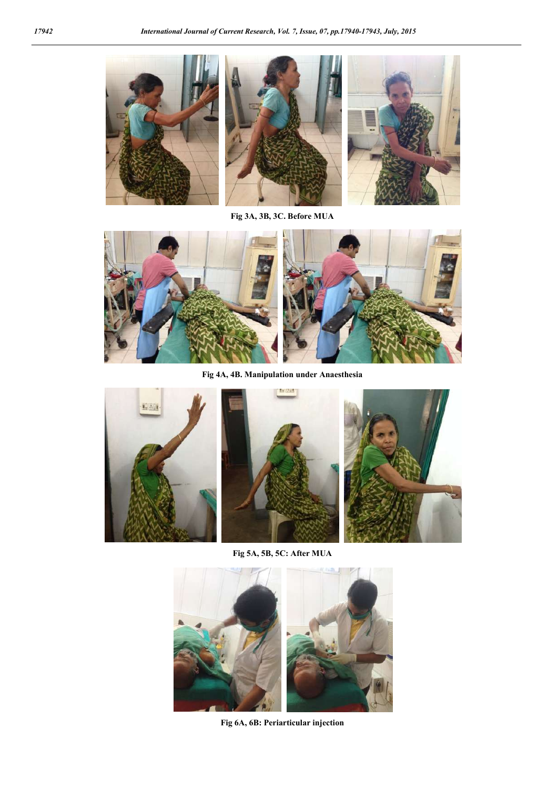

**Fig 3A, 3B, 3C. Before MUA**



**Fig 4A, 4B. Manipulation under Anaesthesia**







**Fig 5A, 5B, 5C: After MUA**



**Fig 6A, 6B: Periarticular injection**